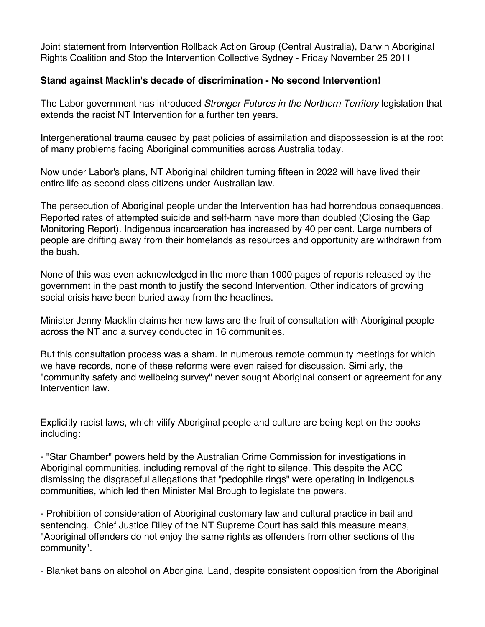Joint statement from Intervention Rollback Action Group (Central Australia), Darwin Aboriginal Rights Coalition and Stop the Intervention Collective Sydney - Friday November 25 2011

## **Stand against Macklin's decade of discrimination - No second Intervention!**

The Labor government has introduced *Stronger Futures in the Northern Territory* legislation that extends the racist NT Intervention for a further ten years.

Intergenerational trauma caused by past policies of assimilation and dispossession is at the root of many problems facing Aboriginal communities across Australia today.

Now under Labor's plans, NT Aboriginal children turning fifteen in 2022 will have lived their entire life as second class citizens under Australian law.

The persecution of Aboriginal people under the Intervention has had horrendous consequences. Reported rates of attempted suicide and self-harm have more than doubled (Closing the Gap Monitoring Report). Indigenous incarceration has increased by 40 per cent. Large numbers of people are drifting away from their homelands as resources and opportunity are withdrawn from the bush.

None of this was even acknowledged in the more than 1000 pages of reports released by the government in the past month to justify the second Intervention. Other indicators of growing social crisis have been buried away from the headlines.

Minister Jenny Macklin claims her new laws are the fruit of consultation with Aboriginal people across the NT and a survey conducted in 16 communities.

But this consultation process was a sham. In numerous remote community meetings for which we have records, none of these reforms were even raised for discussion. Similarly, the "community safety and wellbeing survey" never sought Aboriginal consent or agreement for any Intervention law.

Explicitly racist laws, which vilify Aboriginal people and culture are being kept on the books including:

- "Star Chamber" powers held by the Australian Crime Commission for investigations in Aboriginal communities, including removal of the right to silence. This despite the ACC dismissing the disgraceful allegations that "pedophile rings" were operating in Indigenous communities, which led then Minister Mal Brough to legislate the powers.

- Prohibition of consideration of Aboriginal customary law and cultural practice in bail and sentencing. Chief Justice Riley of the NT Supreme Court has said this measure means, "Aboriginal offenders do not enjoy the same rights as offenders from other sections of the community".

- Blanket bans on alcohol on Aboriginal Land, despite consistent opposition from the Aboriginal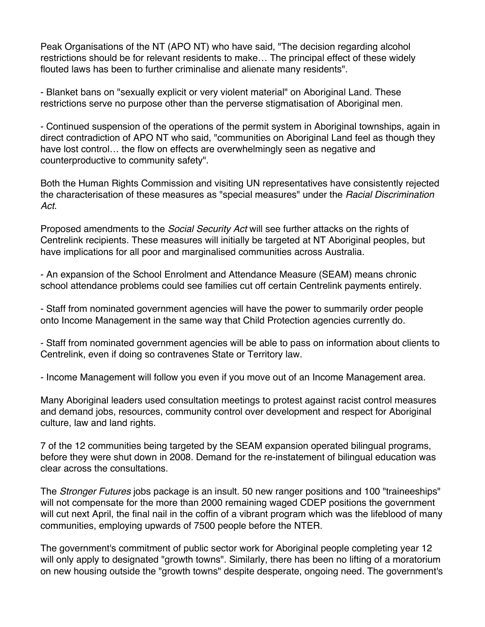Peak Organisations of the NT (APO NT) who have said, "The decision regarding alcohol restrictions should be for relevant residents to make… The principal effect of these widely flouted laws has been to further criminalise and alienate many residents".

- Blanket bans on "sexually explicit or very violent material" on Aboriginal Land. These restrictions serve no purpose other than the perverse stigmatisation of Aboriginal men.

- Continued suspension of the operations of the permit system in Aboriginal townships, again in direct contradiction of APO NT who said, "communities on Aboriginal Land feel as though they have lost control… the flow on effects are overwhelmingly seen as negative and counterproductive to community safety".

Both the Human Rights Commission and visiting UN representatives have consistently rejected the characterisation of these measures as "special measures" under the *Racial Discrimination Act.*

Proposed amendments to the *Social Security Act* will see further attacks on the rights of Centrelink recipients. These measures will initially be targeted at NT Aboriginal peoples, but have implications for all poor and marginalised communities across Australia.

- An expansion of the School Enrolment and Attendance Measure (SEAM) means chronic school attendance problems could see families cut off certain Centrelink payments entirely.

- Staff from nominated government agencies will have the power to summarily order people onto Income Management in the same way that Child Protection agencies currently do.

- Staff from nominated government agencies will be able to pass on information about clients to Centrelink, even if doing so contravenes State or Territory law.

- Income Management will follow you even if you move out of an Income Management area.

Many Aboriginal leaders used consultation meetings to protest against racist control measures and demand jobs, resources, community control over development and respect for Aboriginal culture, law and land rights.

7 of the 12 communities being targeted by the SEAM expansion operated bilingual programs, before they were shut down in 2008. Demand for the re-instatement of bilingual education was clear across the consultations.

The *Stronger Futures* jobs package is an insult. 50 new ranger positions and 100 "traineeships" will not compensate for the more than 2000 remaining waged CDEP positions the government will cut next April, the final nail in the coffin of a vibrant program which was the lifeblood of many communities, employing upwards of 7500 people before the NTER.

The government's commitment of public sector work for Aboriginal people completing year 12 will only apply to designated "growth towns". Similarly, there has been no lifting of a moratorium on new housing outside the "growth towns" despite desperate, ongoing need. The government's